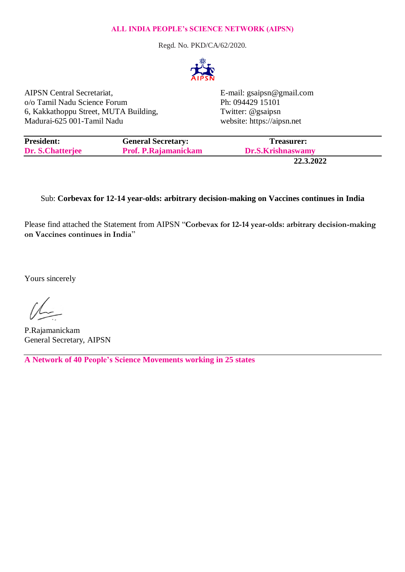## **ALL INDIA PEOPLE's SCIENCE NETWORK (AIPSN)**

Regd. No. PKD/CA/62/2020.



AIPSN Central Secretariat, E-mail: gsaipsn@gmail.com o/o Tamil Nadu Science Forum Ph: 094429 15101 6, Kakkathoppu Street, MUTA Building, Twitter: @gsaipsn Madurai-625 001-Tamil Nadu website: https://aipsn.net

| <b>President:</b> | <b>General Secretary:</b>   | Treasurer:        |  |
|-------------------|-----------------------------|-------------------|--|
| Dr. S.Chatterjee  | <b>Prof. P.Rajamanickam</b> | Dr.S.Krishnaswamy |  |
|                   |                             | $\cdots$          |  |

**22.3.2022**

## Sub: **Corbevax for 12-14 year-olds: arbitrary decision-making on Vaccines continues in India**

Please find attached the Statement from AIPSN "**Corbevax for 12-14 year-olds: arbitrary decision-making on Vaccines continues in India**"

Yours sincerely

P.Rajamanickam General Secretary, AIPSN

**A Network of 40 People's Science Movements working in 25 states**